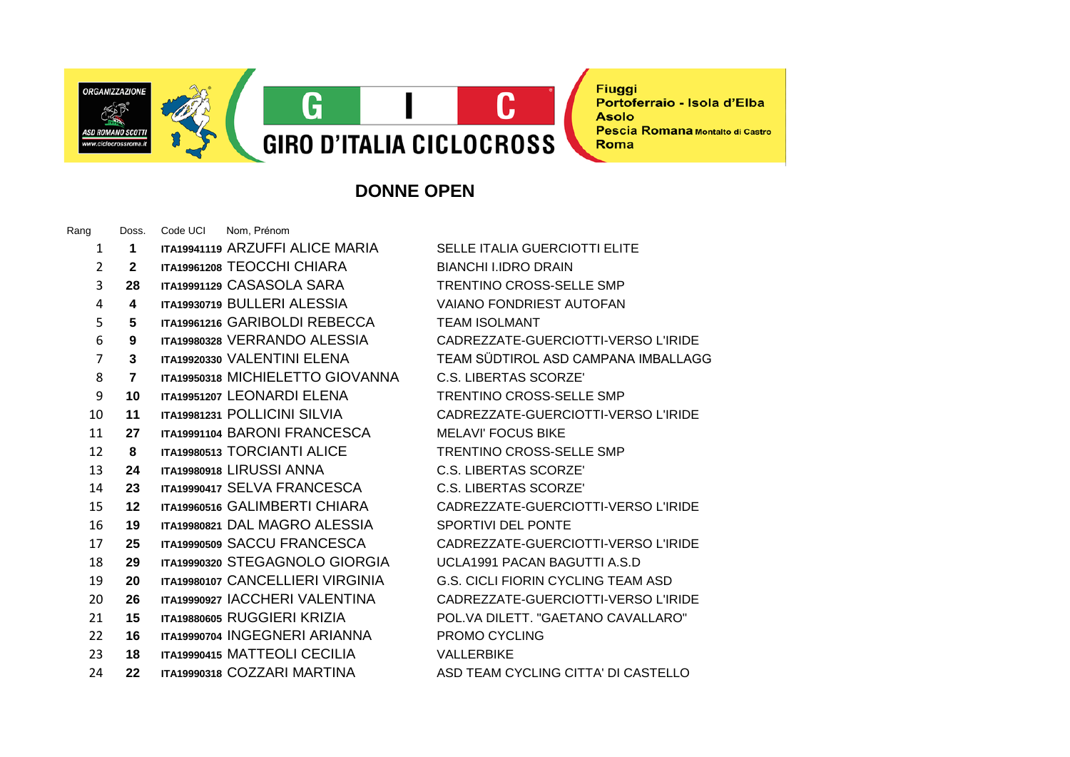

**Fiuggi** Portoferraio - Isola d'Elba **Asolo** Pescia Romana Montalto di Castro Roma

## **DONNE OPEN**

Rang Doss. Code UCI Nom, Prénom **1 ITA19941119** ARZUFFI ALICE MARIA SELLE ITALIA GUERCIOTTI ELITE **2 ITA19961208** TEOCCHI CHIARA BIANCHI I.IDRO DRAIN **28 ITA19991129** CASASOLA SARA TRENTINO CROSS-SELLE SMP **4 ITA19930719** BULLERI ALESSIA VAIANO FONDRIEST AUTOFAN **5 ITA19961216** GARIBOLDI REBECCA TEAM ISOLMANT **9 ITA19980328** VERRANDO ALESSIA CADREZZATE-GUERCIOTTI-VERSO L'IRIDE **3 ITA19920330** VALENTINI ELENA TEAM SÜDTIROL ASD CAMPANA IMBALLAGG **7 ITA19950318** MICHIELETTO GIOVANNA C.S. LIBERTAS SCORZE' **10 ITA19951207** LEONARDI ELENA TRENTINO CROSS-SELLE SMP **11 ITA19981231** POLLICINI SILVIA CADREZZATE-GUERCIOTTI-VERSO L'IRIDE **27 ITA19991104** BARONI FRANCESCA MELAVI' FOCUS BIKE **8 ITA19980513** TORCIANTI ALICE TRENTINO CROSS-SELLE SMP **24 ITA19980918** LIRUSSI ANNA C.S. LIBERTAS SCORZE' **23 ITA19990417** SELVA FRANCESCA C.S. LIBERTAS SCORZE' **12 ITA19960516** GALIMBERTI CHIARA CADREZZATE-GUERCIOTTI-VERSO L'IRIDE **19 ITA19980821** DAL MAGRO ALESSIA SPORTIVI DEL PONTE **25 ITA19990509** SACCU FRANCESCA CADREZZATE-GUERCIOTTI-VERSO L'IRIDE **29 ITA19990320** STEGAGNOLO GIORGIA UCLA1991 PACAN BAGUTTI A.S.D **20 ITA19980107** CANCELLIERI VIRGINIA G.S. CICLI FIORIN CYCLING TEAM ASD **26 ITA19990927** IACCHERI VALENTINA CADREZZATE-GUERCIOTTI-VERSO L'IRIDE **15 ITA19880605** RUGGIERI KRIZIA POL.VA DILETT. "GAETANO CAVALLARO" **16 ITA19990704** INGEGNERI ARIANNA PROMO CYCLING **18 ITA19990415** MATTEOLI CECILIA VALLERBIKE **22 ITA19990318** COZZARI MARTINA ASD TEAM CYCLING CITTA' DI CASTELLO